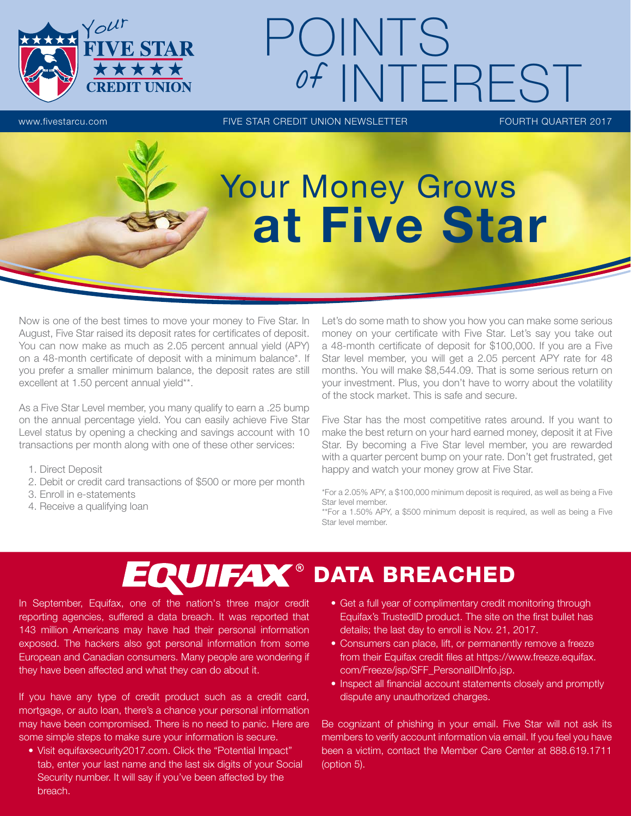

# www.fivestarcu.com **FIVE STAR CREDIT UNION NEWSLETTER** FOURTH QUARTER 2017 POINTS of INTEREST

# Your Money Grows at Five Star

Now is one of the best times to move your money to Five Star. In August, Five Star raised its deposit rates for certificates of deposit. You can now make as much as 2.05 percent annual yield (APY) on a 48-month certificate of deposit with a minimum balance\*. If you prefer a smaller minimum balance, the deposit rates are still excellent at 1.50 percent annual yield\*\*.

As a Five Star Level member, you many qualify to earn a .25 bump on the annual percentage yield. You can easily achieve Five Star Level status by opening a checking and savings account with 10 transactions per month along with one of these other services:

- 1. Direct Deposit
- 2. Debit or credit card transactions of \$500 or more per month
- 3. Enroll in e-statements
- 4. Receive a qualifying loan

Let's do some math to show you how you can make some serious money on your certificate with Five Star. Let's say you take out a 48-month certificate of deposit for \$100,000. If you are a Five Star level member, you will get a 2.05 percent APY rate for 48 months. You will make \$8,544.09. That is some serious return on your investment. Plus, you don't have to worry about the volatility of the stock market. This is safe and secure.

Five Star has the most competitive rates around. If you want to make the best return on your hard earned money, deposit it at Five Star. By becoming a Five Star level member, you are rewarded with a quarter percent bump on your rate. Don't get frustrated, get happy and watch your money grow at Five Star.

\*For a 2.05% APY, a \$100,000 minimum deposit is required, as well as being a Five Star level member.

\*\*For a 1.50% APY, a \$500 minimum deposit is required, as well as being a Five Star level member.

## EQUIFAX<sup>®</sup> DATA BREACHED

In September, Equifax, one of the nation's three major credit reporting agencies, suffered a data breach. It was reported that 143 million Americans may have had their personal information exposed. The hackers also got personal information from some European and Canadian consumers. Many people are wondering if they have been affected and what they can do about it.

If you have any type of credit product such as a credit card, mortgage, or auto loan, there's a chance your personal information may have been compromised. There is no need to panic. Here are some simple steps to make sure your information is secure.

• Visit equifaxsecurity2017.com. Click the "Potential Impact" tab, enter your last name and the last six digits of your Social Security number. It will say if you've been affected by the breach.

- Get a full year of complimentary credit monitoring through Equifax's TrustedID product. The site on the first bullet has details; the last day to enroll is Nov. 21, 2017.
- Consumers can place, lift, or permanently remove a freeze from their Equifax credit files at https://www.freeze.equifax. com/Freeze/jsp/SFF\_PersonalIDInfo.jsp.
- Inspect all financial account statements closely and promptly dispute any unauthorized charges.

Be cognizant of phishing in your email. Five Star will not ask its members to verify account information via email. If you feel you have been a victim, contact the Member Care Center at 888.619.1711 (option 5).